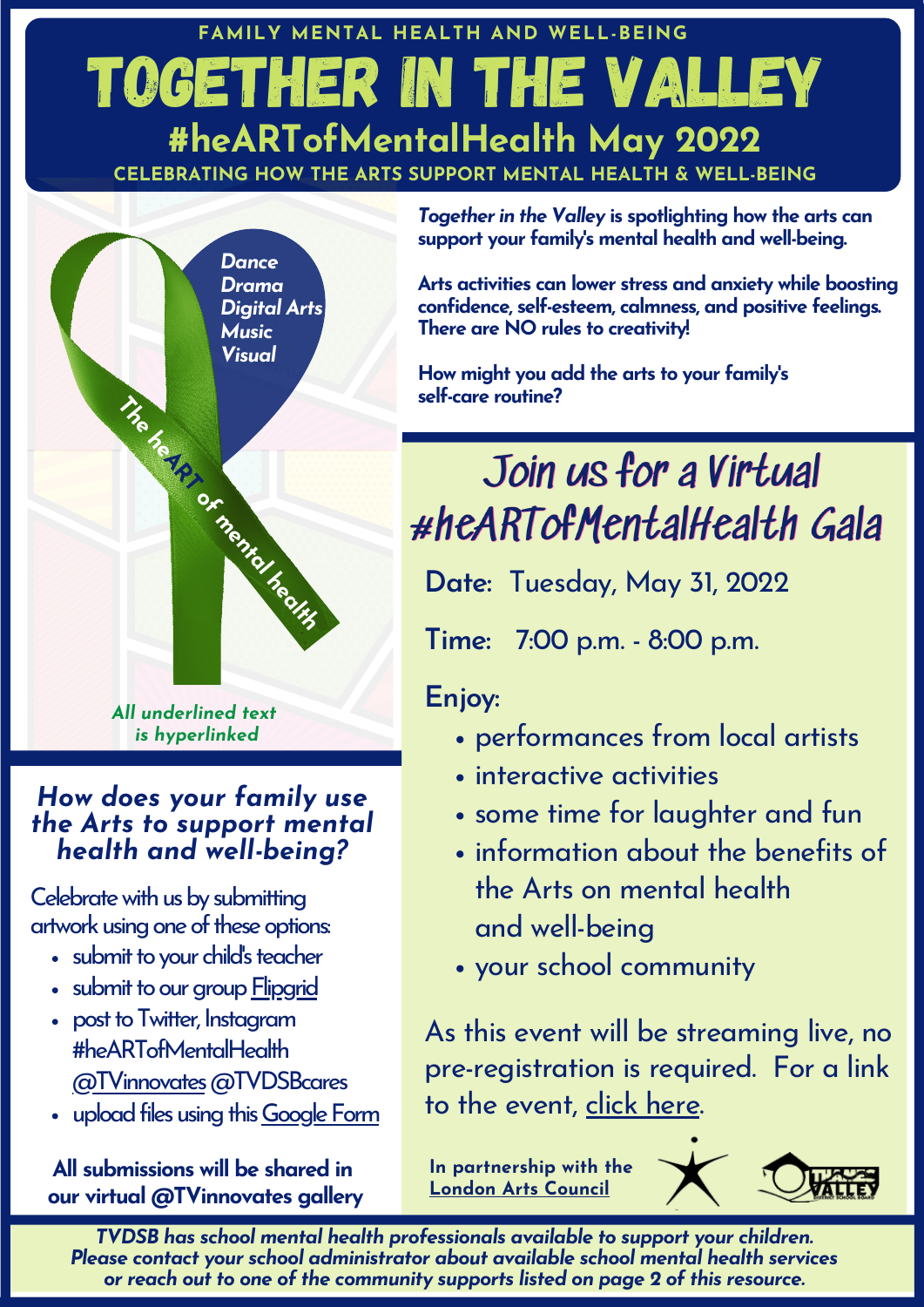# Together IN the Valley **CELEBRATING HOW THE ARTS SUPPORT MENTAL HEALTH & WELL-BEING #heARTofMentalHealth May 2022 FAMILY MENTAL HEALTH AND WELL-BEING**



### *How does your family use the Arts to support mental health and well-being?*

Celebrate with us by submitting artwork using one of these options:

- submit to your child's teacher
- submit to our group [Flipgrid](https://flipgrid.com/1338ce90)
- post to Twitter, Instagram #heARTofMentalHealth [@TVinnovates](https://sites.google.com/gotvdsb.ca/tvinnovates/tvinnovates-homepage)@TVDSBcares
- upload files using this Google Form

**All submissions will be shared in our virtual @TVinnovates gallery** *Together in the Valley* **is spotlighting how the arts can support your family's mental health and well-being.**

**Arts activities can lower stress and anxiety while boosting confidence, self-esteem, calmness, and positive feelings. There are NO rules to creativity!**

**How might you add the arts to your family's self-care routine?**

# Join us for a Virtual #heARTofMentalHealth Gala

**Date:** Tuesday, May 31, 2022

**Time:** 7:00 p.m. - 8:00 p.m.

## **Enjoy:**

- performances from local artists
- interactive activities
- some time for laughter and fun
- information about the benefits of the Arts on mental health and well-being
- your school community

As this event will be streaming live, no pre-registration is required. For a link to the event, click [here](https://sites.google.com/gotvdsb.ca/tvinnovates/heartofmentalhealth).

**In partnership with the [London](https://www.londonarts.ca/) Arts Council**



*TVDSB has school mental health professionals available to support your children. Please contact your school administrator about available school mental health services or reach out to one of the community supports listed on page 2 of this resource.*